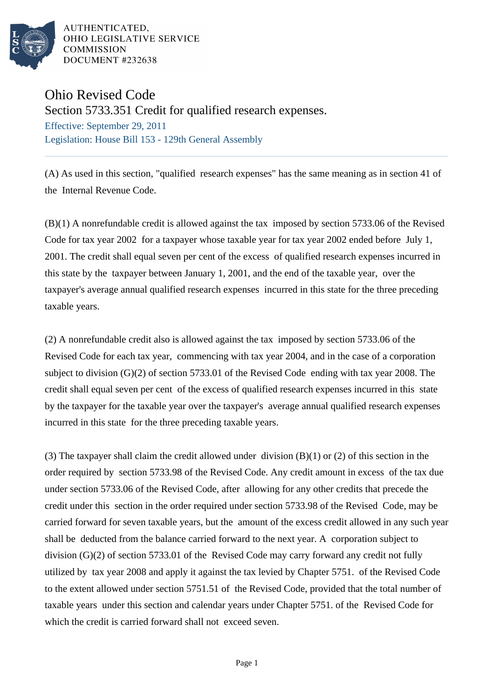

AUTHENTICATED. OHIO LEGISLATIVE SERVICE **COMMISSION** DOCUMENT #232638

## Ohio Revised Code

Section 5733.351 Credit for qualified research expenses.

Effective: September 29, 2011 Legislation: House Bill 153 - 129th General Assembly

(A) As used in this section, "qualified research expenses" has the same meaning as in section 41 of the Internal Revenue Code.

(B)(1) A nonrefundable credit is allowed against the tax imposed by section 5733.06 of the Revised Code for tax year 2002 for a taxpayer whose taxable year for tax year 2002 ended before July 1, 2001. The credit shall equal seven per cent of the excess of qualified research expenses incurred in this state by the taxpayer between January 1, 2001, and the end of the taxable year, over the taxpayer's average annual qualified research expenses incurred in this state for the three preceding taxable years.

(2) A nonrefundable credit also is allowed against the tax imposed by section 5733.06 of the Revised Code for each tax year, commencing with tax year 2004, and in the case of a corporation subject to division (G)(2) of section 5733.01 of the Revised Code ending with tax year 2008. The credit shall equal seven per cent of the excess of qualified research expenses incurred in this state by the taxpayer for the taxable year over the taxpayer's average annual qualified research expenses incurred in this state for the three preceding taxable years.

(3) The taxpayer shall claim the credit allowed under division (B)(1) or (2) of this section in the order required by section 5733.98 of the Revised Code. Any credit amount in excess of the tax due under section 5733.06 of the Revised Code, after allowing for any other credits that precede the credit under this section in the order required under section 5733.98 of the Revised Code, may be carried forward for seven taxable years, but the amount of the excess credit allowed in any such year shall be deducted from the balance carried forward to the next year. A corporation subject to division (G)(2) of section 5733.01 of the Revised Code may carry forward any credit not fully utilized by tax year 2008 and apply it against the tax levied by Chapter 5751. of the Revised Code to the extent allowed under section 5751.51 of the Revised Code, provided that the total number of taxable years under this section and calendar years under Chapter 5751. of the Revised Code for which the credit is carried forward shall not exceed seven.